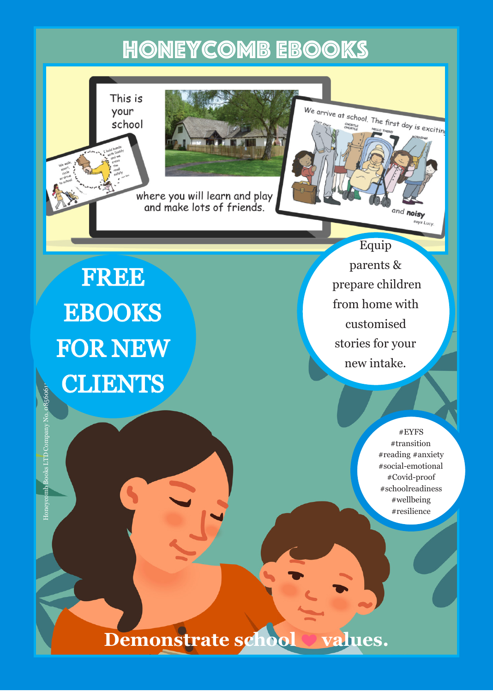#### Honeycomb eBooks

This is your school



where you will learn and play<br>and make lots of friends.

Equip parents & prepare children from home with customised stories for your new intake.

We arrive at school. The first day is exciting<br> $\frac{u_{\text{avg}}}{u_{\text{avg}}}$ 

and noisy

#EYFS #transition #reading #anxiety #social-emotional #Covid-proof #schoolreadiness #wellbeing #resilience

FREE EBOOKS FOR NEW **CLIENTS** 

Honeycomb Books LTD Company No. 0856061

Honeycomb Books LTD Company No. 085606

Demonstrate school **values**.